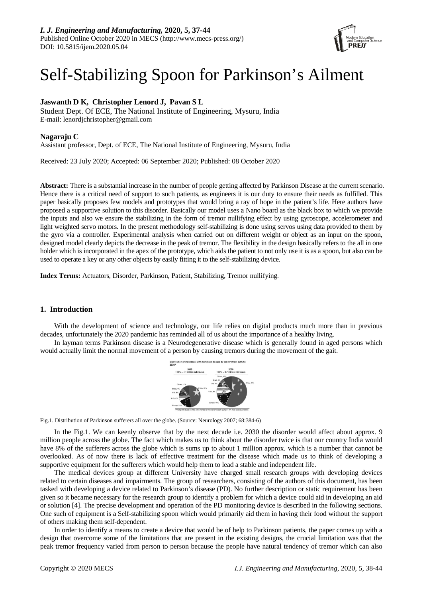

# Self-Stabilizing Spoon for Parkinson's Ailment

# **Jaswanth D K, Christopher Lenord J, Pavan S L**

Student Dept. Of ECE, The National Institute of Engineering, Mysuru, India E-mail: lenordjchristopher@gmail.com

# **Nagaraju C**

Assistant professor, Dept. of ECE, The National Institute of Engineering, Mysuru, India

Received: 23 July 2020; Accepted: 06 September 2020; Published: 08 October 2020

**Abstract:** There is a substantial increase in the number of people getting affected by Parkinson Disease at the current scenario. Hence there is a critical need of support to such patients, as engineers it is our duty to ensure their needs as fulfilled. This paper basically proposes few models and prototypes that would bring a ray of hope in the patient's life. Here authors have proposed a supportive solution to this disorder. Basically our model uses a Nano board as the black box to which we provide the inputs and also we ensure the stabilizing in the form of tremor nullifying effect by using gyroscope, accelerometer and light weighted servo motors. In the present methodology self-stabilizing is done using servos using data provided to them by the gyro via a controller. Experimental analysis when carried out on different weight or object as an input on the spoon, designed model clearly depicts the decrease in the peak of tremor. The flexibility in the design basically refers to the all in one holder which is incorporated in the apex of the prototype, which aids the patient to not only use it is as a spoon, but also can be used to operate a key or any other objects by easily fitting it to the self-stabilizing device.

**Index Terms:** Actuators, Disorder, Parkinson, Patient, Stabilizing, Tremor nullifying.

# **1. Introduction**

With the development of science and technology, our life relies on digital products much more than in previous decades, unfortunately the 2020 pandemic has reminded all of us about the importance of a healthy living.

In layman terms Parkinson disease is a Neurodegenerative disease which is generally found in aged persons which would actually limit the normal movement of a person by causing tremors during the movement of the gait.



Fig.1. Distribution of Parkinson sufferers all over the globe. (Source: Neurology 2007; 68:384-6)

In the Fig.1. We can keenly observe that by the next decade i.e. 2030 the disorder would affect about approx. 9 million people across the globe. The fact which makes us to think about the disorder twice is that our country India would have 8% of the sufferers across the globe which is sums up to about 1 million approx. which is a number that cannot be overlooked. As of now there is lack of effective treatment for the disease which made us to think of developing a supportive equipment for the sufferers which would help them to lead a stable and independent life.

The medical devices group at different University have charged small research groups with developing devices related to certain diseases and impairments. The group of researchers, consisting of the authors of this document, has been tasked with developing a device related to Parkinson's disease (PD). No further description or static requirement has been given so it became necessary for the research group to identify a problem for which a device could aid in developing an aid or solution [4]. The precise development and operation of the PD monitoring device is described in the following sections. One such of equipment is a Self-stabilizing spoon which would primarily aid them in having their food without the support of others making them self-dependent.

In order to identify a means to create a device that would be of help to Parkinson patients, the paper comes up with a design that overcome some of the limitations that are present in the existing designs, the crucial limitation was that the peak tremor frequency varied from person to person because the people have natural tendency of tremor which can also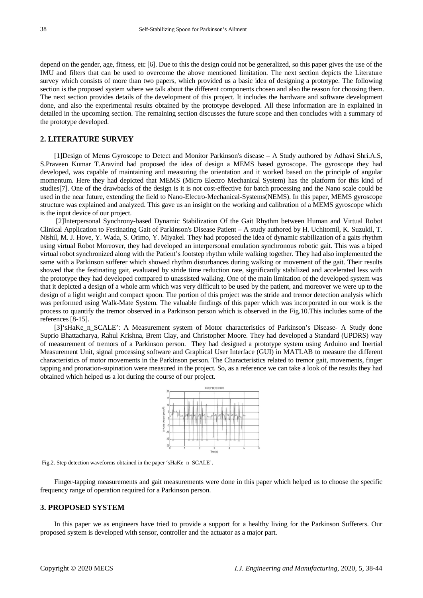depend on the gender, age, fitness, etc [6]. Due to this the design could not be generalized, so this paper gives the use of the IMU and filters that can be used to overcome the above mentioned limitation. The next section depicts the Literature survey which consists of more than two papers, which provided us a basic idea of designing a prototype. The following section is the proposed system where we talk about the different components chosen and also the reason for choosing them. The next section provides details of the development of this project. It includes the hardware and software development done, and also the experimental results obtained by the prototype developed. All these information are in explained in detailed in the upcoming section. The remaining section discusses the future scope and then concludes with a summary of the prototype developed.

## **2. LITERATURE SURVEY**

[1]Design of Mems Gyroscope to Detect and Monitor Parkinson's disease – A Study authored by Adhavi Shri.A.S, S.Praveen Kumar T.Aravind had proposed the idea of design a MEMS based gyroscope. The gyroscope they had developed, was capable of maintaining and measuring the orientation and it worked based on the principle of angular momentum. Here they had depicted that MEMS (Micro Electro Mechanical System) has the platform for this kind of studies[7]. One of the drawbacks of the design is it is not cost-effective for batch processing and the Nano scale could be used in the near future, extending the field to Nano-Electro-Mechanical-Systems(NEMS). In this paper, MEMS gyroscope structure was explained and analyzed. This gave us an insight on the working and calibration of a MEMS gyroscope which is the input device of our project.

[2]Interpersonal Synchrony-based Dynamic Stabilization Of the Gait Rhythm between Human and Virtual Robot Clinical Application to Festinating Gait of Parkinson's Disease Patient – A study authored by H. Uchitomil, K. Suzukil, T. Nishil, M. J. Hove, Y. Wada, S. Orimo, Y. Miyakel. They had proposed the idea of dynamic stabilization of a gaits rhythm using virtual Robot Moreover, they had developed an interpersonal emulation synchronous robotic gait. This was a biped virtual robot synchronized along with the Patient's footstep rhythm while walking together. They had also implemented the same with a Parkinson sufferer which showed rhythm disturbances during walking or movement of the gait. Their results showed that the festinating gait, evaluated by stride time reduction rate, significantly stabilized and accelerated less with the prototype they had developed compared to unassisted walking. One of the main limitation of the developed system was that it depicted a design of a whole arm which was very difficult to be used by the patient, and moreover we were up to the design of a light weight and compact spoon. The portion of this project was the stride and tremor detection analysis which was performed using Walk-Mate System. The valuable findings of this paper which was incorporated in our work is the process to quantify the tremor observed in a Parkinson person which is observed in the Fig.10.This includes some of the references [8-15].

[3]'sHaKe\_n\_SCALE': A Measurement system of Motor characteristics of Parkinson's Disease- A Study done Suprio Bhattacharya, Rahul Krishna, Brent Clay, and Christopher Moore. They had developed a Standard (UPDRS) way of measurement of tremors of a Parkinson person. They had designed a prototype system using Arduino and Inertial Measurement Unit, signal processing software and Graphical User Interface (GUI) in MATLAB to measure the different characteristics of motor movements in the Parkinson person. The Characteristics related to tremor gait, movements, finger tapping and pronation-supination were measured in the project. So, as a reference we can take a look of the results they had obtained which helped us a lot during the course of our project.



Fig.2. Step detection waveforms obtained in the paper 'sHaKe\_n\_SCALE'.

Finger-tapping measurements and gait measurements were done in this paper which helped us to choose the specific frequency range of operation required for a Parkinson person.

## **3. PROPOSED SYSTEM**

In this paper we as engineers have tried to provide a support for a healthy living for the Parkinson Sufferers. Our proposed system is developed with sensor, controller and the actuator as a major part.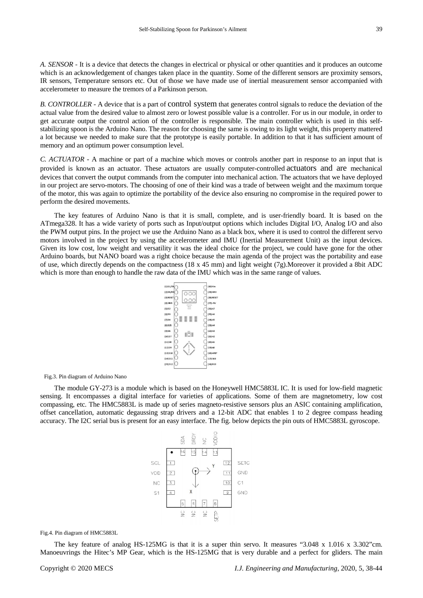*A. SENSOR* - It is a device that detects the changes in electrical or physical or other quantities and it produces an outcome which is an acknowledgement of changes taken place in the quantity. Some of the different sensors are proximity sensors, IR sensors, Temperature sensors etc. Out of those we have made use of inertial measurement sensor accompanied with accelerometer to measure the tremors of a Parkinson person.

*B. CONTROLLER* - A device that is a part of [control system](https://electronicscoach.com/control-system.html) that generates control signals to reduce the deviation of the actual value from the desired value to almost zero or lowest possible value is a controller. For us in our module, in order to get accurate output the control action of the controller is responsible. The main controller which is used in this selfstabilizing spoon is the Arduino Nano. The reason for choosing the same is owing to its light weight, this property mattered a lot because we needed to make sure that the prototype is easily portable. In addition to that it has sufficient amount of memory and an optimum power consumption level.

*C. ACTUATOR* - A machine or part of a machine which moves or controls another part in response to an input that is provided is known as an actuator. These actuators are usually computer-controlled actuators and are mechanical devices that convert the output commands from the computer into mechanical action. The actuators that we have deployed in our project are servo-motors. The choosing of one of their kind was a trade of between weight and the maximum torque of the motor, this was again to optimize the portability of the device also ensuring no compromise in the required power to perform the desired movements.

The key features of Arduino Nano is that it is small, complete, and is user-friendly board. It is based on the ATmega328. It has a wide variety of ports such as Input/output options which includes Digital I/O, Analog I/O and also the PWM output pins. In the project we use the Arduino Nano as a black box, where it is used to control the different servo motors involved in the project by using the accelerometer and IMU (Inertial Measurement Unit) as the input devices. Given its low cost, low weight and versatility it was the ideal choice for the project, we could have gone for the other Arduino boards, but NANO board was a right choice because the main agenda of the project was the portability and ease of use, which directly depends on the compactness (18 x 45 mm) and light weight (7g).Moreover it provided a 8bit ADC which is more than enough to handle the raw data of the IMU which was in the same range of values.

| $(1)$ D1/TX           |             | $(30)$ Vin            |
|-----------------------|-------------|-----------------------|
| (2) DO/RX             |             | $(29)$ GND            |
| (3) RESET             |             | (28) RESET            |
| (4) GND               | Andiulina   | $(27) + 5V$           |
| (5)D2                 | None<br>V30 | $(26)$ A7             |
| $(6)$ D3              |             | $(25)$ A6             |
| <b>[7] D4</b>         |             | $(24)$ A5             |
| $(8)$ D <sub>25</sub> |             | $[23]$ A4             |
| $(9)$ D6              | RST         | $[22]$ A3             |
| (10) D7               |             | $(21)$ A <sub>2</sub> |
| $(11)$ D <sub>s</sub> |             | $(20)$ A1             |
| (12)D9                |             | $(19)$ AO             |
| (13) D10              |             | (18) AREF             |
| (14) D11              |             | (17) 3V3              |
| (15) D12              |             | (16) D13              |
|                       |             |                       |

Fig.3. Pin diagram of Arduino Nano

The module GY-273 is a module which is based on the Honeywell HMC5883L IC. It is used for low-field magnetic sensing. It encompasses a digital interface for varieties of applications. Some of them are magnetometry, low cost compassing, etc. The HMC5883L is made up of series magneto-resistive sensors plus an ASIC containing amplification, offset cancellation, automatic degaussing strap drivers and a 12-bit ADC that enables 1 to 2 degree compass heading accuracy. The I2C serial bus is present for an easy interface. The fig. below depicts the pin outs of HMC5883L gyroscope.

|     |                | SDA    | DRDY                                      | $\frac{C}{Z}$  | OIOOV  |    |                |
|-----|----------------|--------|-------------------------------------------|----------------|--------|----|----------------|
|     |                | 6      | 5<br>ħ                                    | $\overline{4}$ | 13     |    |                |
| SCL | 1              |        |                                           |                | Y      | 12 | <b>SETC</b>    |
| VDD | $\overline{2}$ |        |                                           |                |        | 11 | GND            |
| NC  | 3              |        |                                           |                |        | 10 | C <sub>1</sub> |
| S1  | 4              |        | X                                         |                |        | -9 | GND            |
|     |                | 5      | 6                                         | 7              | 8      |    |                |
|     |                | $\geq$ | $\stackrel{\small\cup}{\scriptstyle\geq}$ | $\geq$         | 오<br>기 |    |                |
|     |                |        |                                           |                |        |    |                |

Fig.4. Pin diagram of HMC5883L

The key feature of analog HS-125MG is that it is a super thin servo. It measures "3.048 x 1.016 x 3.302"cm. Manoeuvrings the Hitec's MP Gear, which is the HS-125MG that is very durable and a perfect for gliders. The main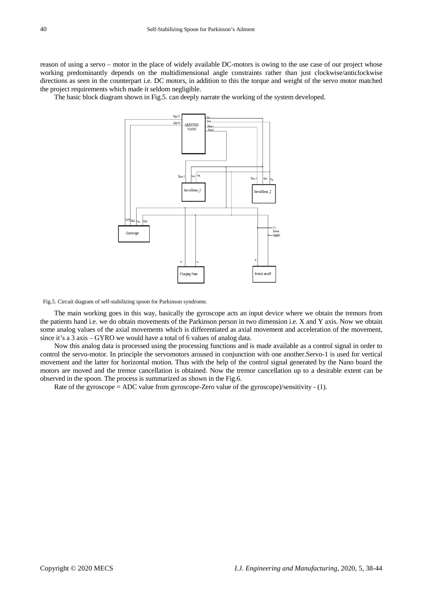reason of using a servo – motor in the place of widely available DC-motors is owing to the use case of our project whose working predominantly depends on the multidimensional angle constraints rather than just clockwise/anticlockwise directions as seen in the counterpart i.e. DC motors, in addition to this the torque and weight of the servo motor matched the project requirements which made it seldom negligible.

The basic block diagram shown in Fig.5. can deeply narrate the working of the system developed.



Fig.5. Circuit diagram of self-stabilizing spoon for Parkinson syndrome.

The main working goes in this way, basically the gyroscope acts an input device where we obtain the tremors from the patients hand i.e. we do obtain movements of the Parkinson person in two dimension i.e. X and Y axis. Now we obtain some analog values of the axial movements which is differentiated as axial movement and acceleration of the movement, since it's a 3 axis – GYRO we would have a total of 6 values of analog data.

Now this analog data is processed using the processing functions and is made available as a control signal in order to control the servo-motor. In principle the servomotors aroused in conjunction with one another.Servo-1 is used for vertical movement and the latter for horizontal motion. Thus with the help of the control signal generated by the Nano board the motors are moved and the tremor cancellation is obtained. Now the tremor cancellation up to a desirable extent can be observed in the spoon. The process is summarized as shown in the Fig.6.

Rate of the gyroscope = ADC value from gyroscope-Zero value of the gyroscope)/sensitivity - (1).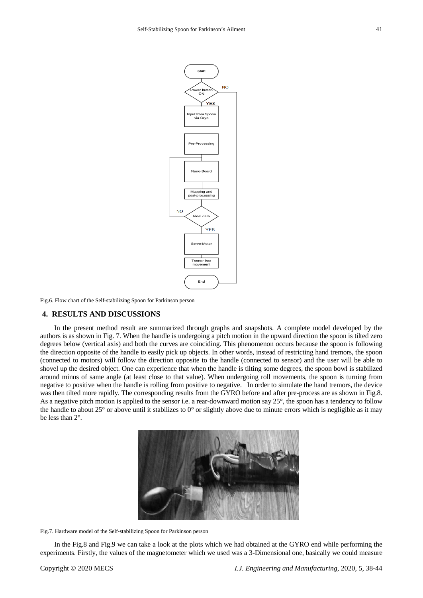

Fig.6. Flow chart of the Self-stabilizing Spoon for Parkinson person

## **4. RESULTS AND DISCUSSIONS**

In the present method result are summarized through graphs and snapshots. A complete model developed by the authors is as shown in Fig. 7. When the handle is undergoing a pitch motion in the upward direction the spoon is tilted zero degrees below (vertical axis) and both the curves are coinciding. This phenomenon occurs because the spoon is following the direction opposite of the handle to easily pick up objects. In other words, instead of restricting hand tremors, the spoon (connected to motors) will follow the direction opposite to the handle (connected to sensor) and the user will be able to shovel up the desired object. One can experience that when the handle is tilting some degrees, the spoon bowl is stabilized around minus of same angle (at least close to that value). When undergoing roll movements, the spoon is turning from negative to positive when the handle is rolling from positive to negative. In order to simulate the hand tremors, the device was then tilted more rapidly. The corresponding results from the GYRO before and after pre-process are as shown in Fig.8. As a negative pitch motion is applied to the sensor i.e. a rear-downward motion say 25°, the spoon has a tendency to follow the handle to about 25° or above until it stabilizes to 0° or slightly above due to minute errors which is negligible as it may be less than 2°.



Fig.7. Hardware model of the Self-stabilizing Spoon for Parkinson person

In the Fig.8 and Fig.9 we can take a look at the plots which we had obtained at the GYRO end while performing the experiments. Firstly, the values of the magnetometer which we used was a 3-Dimensional one, basically we could measure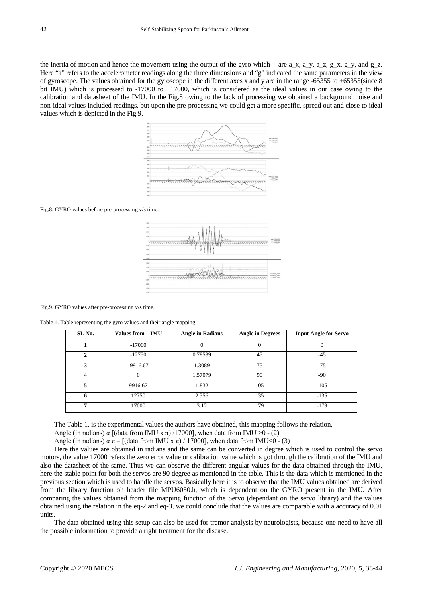the inertia of motion and hence the movement using the output of the gyro which are  $a_x$ ,  $a_y$ ,  $a_z$ ,  $a_z$ ,  $a_z$ ,  $a_z$ ,  $a_z$ ,  $a_z$ ,  $a_z$ ,  $a_z$ ,  $a_z$ ,  $a_z$ ,  $a_z$ ,  $a_z$ ,  $a_z$ ,  $a_z$ ,  $a_z$ ,  $a_z$ ,  $a_z$ ,  $a_z$ ,  $a_z$ ,  $a_z$ ,  $a_z$ , Here "a" refers to the accelerometer readings along the three dimensions and "g" indicated the same parameters in the view of gyroscope. The values obtained for the gyroscope in the different axes x and y are in the range -65355 to +65355(since 8 bit IMU) which is processed to -17000 to +17000, which is considered as the ideal values in our case owing to the calibration and datasheet of the IMU. In the Fig.8 owing to the lack of processing we obtained a background noise and non-ideal values included readings, but upon the pre-processing we could get a more specific, spread out and close to ideal values which is depicted in the Fig.9.



Fig.8. GYRO values before pre-processing v/s time.



Fig.9. GYRO values after pre-processing v/s time.

Table 1. Table representing the gyro values and their angle mapping

| SL No.       | <b>Values from IMU</b> | <b>Angle in Radians</b> | <b>Angle in Degrees</b> | <b>Input Angle for Servo</b> |
|--------------|------------------------|-------------------------|-------------------------|------------------------------|
|              | $-17000$               |                         |                         |                              |
| $\mathbf{2}$ | $-12750$               | 0.78539                 | 45                      | $-45$                        |
| 3            | $-9916.67$             | 1.3089                  | 75                      | $-75$                        |
| 4            |                        | 1.57079                 | 90                      | -90                          |
| 5.           | 9916.67                | 1.832                   | 105                     | $-105$                       |
| 6            | 12750                  | 2.356                   | 135                     | $-135$                       |
|              | 17000                  | 3.12                    | 179                     | $-179$                       |

The Table 1. is the experimental values the authors have obtained, this mapping follows the relation,

Angle (in radians)  $\alpha$  [(data from IMU x  $\pi$ ) /17000], when data from IMU >0 - (2)

Angle (in radians)  $\alpha \pi - [(\text{data from IMU x } \pi) / 17000]$ , when data from IMU<0 - (3)

Here the values are obtained in radians and the same can be converted in degree which is used to control the servo motors, the value 17000 refers the zero error value or calibration value which is got through the calibration of the IMU and also the datasheet of the same. Thus we can observe the different angular values for the data obtained through the IMU, here the stable point for both the servos are 90 degree as mentioned in the table. This is the data which is mentioned in the previous section which is used to handle the servos. Basically here it is to observe that the IMU values obtained are derived from the library function oh header file MPU6050.h, which is dependent on the GYRO present in the IMU. After comparing the values obtained from the mapping function of the Servo (dependant on the servo library) and the values obtained using the relation in the eq-2 and eq-3, we could conclude that the values are comparable with a accuracy of 0.01 units.

The data obtained using this setup can also be used for tremor analysis by neurologists, because one need to have all the possible information to provide a right treatment for the disease.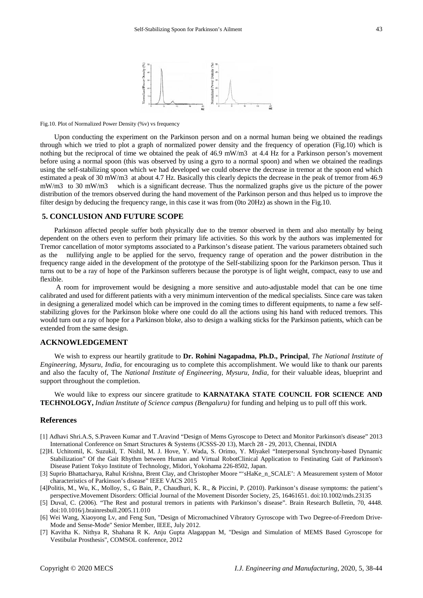

Fig.10. Plot of Normalized Power Density (%v) vs frequency

Upon conducting the experiment on the Parkinson person and on a normal human being we obtained the readings through which we tried to plot a graph of normalized power density and the frequency of operation (Fig.10) which is nothing but the reciprocal of time we obtained the peak of 46.9 mW/m3 at 4.4 Hz for a Parkinson person's movement before using a normal spoon (this was observed by using a gyro to a normal spoon) and when we obtained the readings using the self-stabilizing spoon which we had developed we could observe the decrease in tremor at the spoon end which estimated a peak of 30 mW/m3 at about 4.7 Hz. Basically this clearly depicts the decrease in the peak of tremor from 46.9 mW/m3 to 30 mW/m3 which is a significant decrease. Thus the normalized graphs give us the picture of the power distribution of the tremors observed during the hand movement of the Parkinson person and thus helped us to improve the filter design by deducing the frequency range, in this case it was from (0to 20Hz) as shown in the Fig.10.

### **5. CONCLUSION AND FUTURE SCOPE**

Parkinson affected people suffer both physically due to the tremor observed in them and also mentally by being dependent on the others even to perform their primary life activities. So this work by the authors was implemented for Tremor cancellation of motor symptoms associated to a Parkinson's disease patient. The various parameters obtained such as the nullifying angle to be applied for the servo, frequency range of operation and the power distribution in the frequency range aided in the development of the prototype of the Self-stabilizing spoon for the Parkinson person. Thus it turns out to be a ray of hope of the Parkinson sufferers because the porotype is of light weight, compact, easy to use and flexible.

A room for improvement would be designing a more sensitive and auto-adjustable model that can be one time calibrated and used for different patients with a very minimum intervention of the medical specialists. Since care was taken in designing a generalized model which can be improved in the coming times to different equipments, to name a few selfstabilizing gloves for the Parkinson bloke where one could do all the actions using his hand with reduced tremors. This would turn out a ray of hope for a Parkinson bloke, also to design a walking sticks for the Parkinson patients, which can be extended from the same design.

### **ACKNOWLEDGEMENT**

We wish to express our heartily gratitude to **Dr. Rohini Nagapadma, Ph.D., Principal**, *The National Institute of Engineering, Mysuru, India*, for encouraging us to complete this accomplishment. We would like to thank our parents and also the faculty of, The *National Institute of Engineering, Mysuru, India*, for their valuable ideas, blueprint and support throughout the completion.

We would like to express our sincere gratitude to **KARNATAKA STATE COUNCIL FOR SCIENCE AND TECHNOLOGY,** *Indian Institute of Science campus (Bengaluru)* for funding and helping us to pull off this work.

#### **References**

- [1] Adhavi Shri.A.S, S.Praveen Kumar and T.Aravind "Design of Mems Gyroscope to Detect and Monitor Parkinson's disease" 2013 International Conference on Smart Structures & Systems (JCSSS-20 13), March 28 - 29, 2013, Chennai, INDIA
- [2]H. Uchitomil, K. Suzukil, T. Nishil, M. J. Hove, Y. Wada, S. Orimo, Y. Miyakel "Interpersonal Synchrony-based Dynamic Stabilization" Of the Gait Rhythm between Human and Virtual RobotClinical Application to Festinating Gait of Parkinson's Disease Patient Tokyo Institute of Technology, Midori, Yokohama 226-8502, Japan.
- [3] Suprio Bhattacharya, Rahul Krishna, Brent Clay, and Christopher Moore "'sHaKe\_n\_SCALE': A Measurement system of Motor characteristics of Parkinson's disease" IEEE VACS 2015
- [4]Politis, M., Wu, K., Molloy, S., G Bain, P., Chaudhuri, K. R., & Piccini, P. (2010). Parkinson's disease symptoms: the patient's perspective.Movement Disorders: Official Journal of the Movement Disorder Society, 25, 16461651. doi:10.1002/mds.23135
- [5] Duval, C. (2006). "The Rest and postural tremors in patients with Parkinson's disease". Brain Research Bulletin, 70, 4448. doi:10.1016/j.brainresbull.2005.11.010
- [6] Wei Wang, Xiaoyong Lv, and Feng Sun, "Design of Micromachined Vibratory Gyroscope with Two Degree-of-Freedom Drive-Mode and Sense-Mode" Senior Member, IEEE, July 2012.
- [7] Kavitha K. Nithya R, Shahana R K. Anju Gupta Alagappan M, "Design and Simulation of MEMS Based Gyroscope for Vestibular Prosthesis", COMSOL conference, 2012